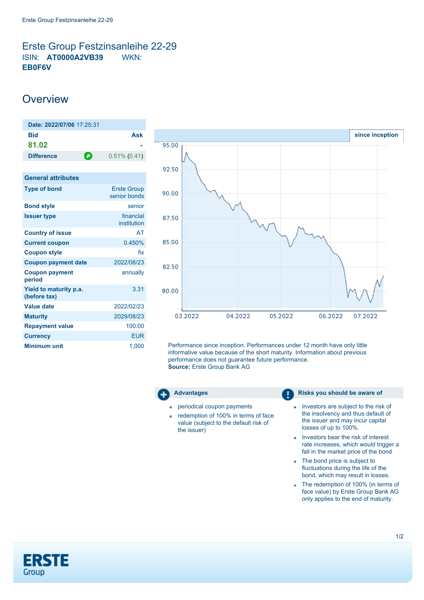## <span id="page-0-0"></span>Erste Group Festzinsanleihe 22-29 ISIN: **AT0000A2VB39** WKN: **EB0F6V**

# **Overview**

| Date: 2022/07/06 17:25:31              |                                    |
|----------------------------------------|------------------------------------|
| <b>Bid</b><br>81.02                    | Ask                                |
| Ο<br><b>Difference</b>                 | $0.51\%$ (0.41)                    |
|                                        |                                    |
| <b>General attributes</b>              |                                    |
| <b>Type of bond</b>                    | <b>Erste Group</b><br>senior bonds |
| <b>Bond style</b>                      | senior                             |
| <b>Issuer type</b>                     | financial<br>institution           |
| <b>Country of issue</b>                | AT                                 |
| <b>Current coupon</b>                  | 0.450%                             |
| <b>Coupon style</b>                    | fix                                |
| <b>Coupon payment date</b>             | 2022/08/23                         |
| <b>Coupon payment</b><br>period        | annually                           |
| Yield to maturity p.a.<br>(before tax) | 3.31                               |
| Value date                             | 2022/02/23                         |
| <b>Maturity</b>                        | 2029/08/23                         |
| <b>Repayment value</b>                 | 100.00                             |
| <b>Currency</b>                        | <b>EUR</b>                         |
| <b>Minimum unit</b>                    | 1,000                              |



Performance since inception. Performances under 12 month have only little informative value because of the short maturity. Information about previous performance does not guarantee future performance. **Source:** Erste Group Bank AG



- periodical coupon payments
- redemption of 100% in terms of face à. value (subject to the default risk of the issuer)

#### **Advantages Risks you should be aware of Risks** you should be aware of

- Investors are subject to the risk of ä, the insolvency and thus default of the issuer and may incur capital losses of up to 100%.
- Investors bear the risk of interest rate increases, which would trigger a fall in the market price of the bond
- The bond price is subject to fluctuations during the life of the bond, which may result in losses.
- The redemption of 100% (in terms of face value) by Erste Group Bank AG only applies to the end of maturity.